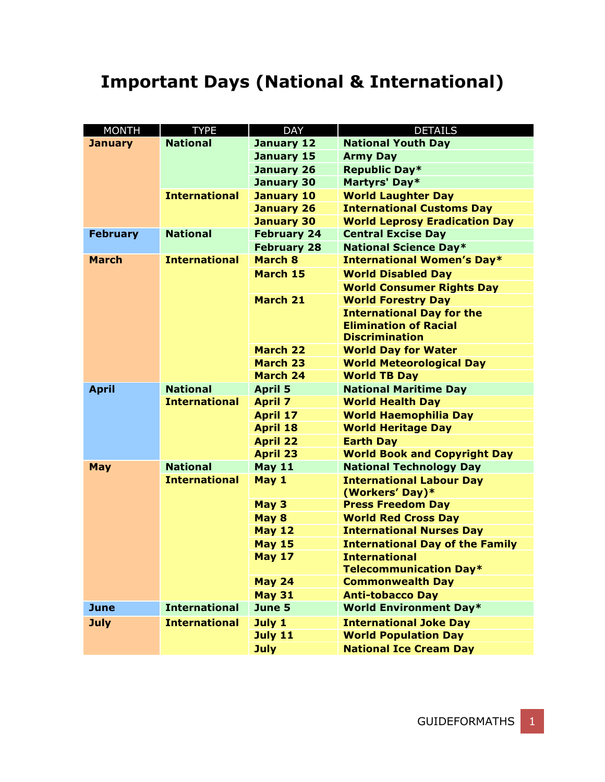## **Important Days (National & International)**

| <b>MONTH</b>    | <b>TYPE</b>          | <b>DAY</b>         | <b>DETAILS</b>                                     |
|-----------------|----------------------|--------------------|----------------------------------------------------|
| <b>January</b>  | <b>National</b>      | January 12         | <b>National Youth Day</b>                          |
|                 |                      | January 15         | <b>Army Day</b>                                    |
|                 |                      | <b>January 26</b>  | Republic Day*                                      |
|                 |                      | <b>January 30</b>  | Martyrs' Day*                                      |
|                 | <b>International</b> | <b>January 10</b>  | <b>World Laughter Day</b>                          |
|                 |                      | <b>January 26</b>  | <b>International Customs Day</b>                   |
|                 |                      | <b>January 30</b>  | <b>World Leprosy Eradication Day</b>               |
| <b>February</b> | <b>National</b>      | <b>February 24</b> | <b>Central Excise Day</b>                          |
|                 |                      | <b>February 28</b> | <b>National Science Day*</b>                       |
| <b>March</b>    | <b>International</b> | <b>March 8</b>     | <b>International Women's Day*</b>                  |
|                 |                      | <b>March 15</b>    | <b>World Disabled Day</b>                          |
|                 |                      |                    | <b>World Consumer Rights Day</b>                   |
|                 |                      | <b>March 21</b>    | <b>World Forestry Day</b>                          |
|                 |                      |                    | <b>International Day for the</b>                   |
|                 |                      |                    | <b>Elimination of Racial</b>                       |
|                 |                      |                    | <b>Discrimination</b>                              |
|                 |                      | <b>March 22</b>    | <b>World Day for Water</b>                         |
|                 |                      | <b>March 23</b>    | <b>World Meteorological Day</b>                    |
|                 |                      | <b>March 24</b>    | <b>World TB Day</b>                                |
| <b>April</b>    | <b>National</b>      | <b>April 5</b>     | <b>National Maritime Day</b>                       |
|                 | <b>International</b> | <b>April 7</b>     | <b>World Health Day</b>                            |
|                 |                      | <b>April 17</b>    | <b>World Haemophilia Day</b>                       |
|                 |                      | <b>April 18</b>    | <b>World Heritage Day</b>                          |
|                 |                      | <b>April 22</b>    | <b>Earth Day</b>                                   |
|                 |                      | <b>April 23</b>    | <b>World Book and Copyright Day</b>                |
| <b>May</b>      | <b>National</b>      | <b>May 11</b>      | <b>National Technology Day</b>                     |
|                 | <b>International</b> | May 1              | <b>International Labour Day</b><br>(Workers' Day)* |
|                 |                      | May 3              | <b>Press Freedom Day</b>                           |
|                 |                      | May 8              | <b>World Red Cross Day</b>                         |
|                 |                      | <b>May 12</b>      | <b>International Nurses Day</b>                    |
|                 |                      | <b>May 15</b>      | <b>International Day of the Family</b>             |
|                 |                      | <b>May 17</b>      | <b>International</b>                               |
|                 |                      |                    | Telecommunication Day*                             |
|                 |                      | <b>May 24</b>      | <b>Commonwealth Day</b>                            |
|                 |                      | <b>May 31</b>      | <b>Anti-tobacco Day</b>                            |
| <b>June</b>     | <b>International</b> | June 5             | <b>World Environment Day*</b>                      |
| <b>July</b>     | <b>International</b> | July 1             | <b>International Joke Day</b>                      |
|                 |                      | <b>July 11</b>     | <b>World Population Day</b>                        |
|                 |                      | <b>July</b>        | <b>National Ice Cream Day</b>                      |